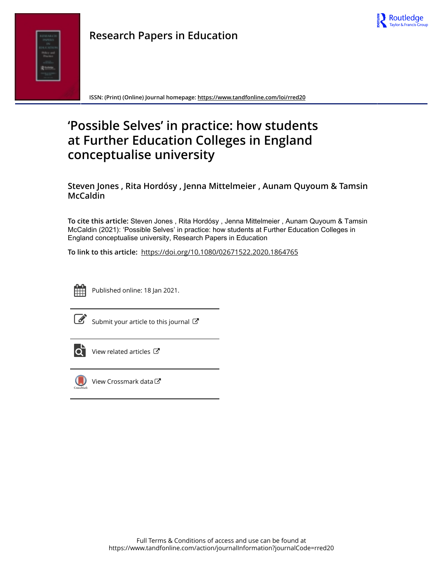



**ISSN: (Print) (Online) Journal homepage:<https://www.tandfonline.com/loi/rred20>**

# **'Possible Selves' in practice: how students at Further Education Colleges in England conceptualise university**

**Steven Jones , Rita Hordósy , Jenna Mittelmeier , Aunam Quyoum & Tamsin McCaldin**

**To cite this article:** Steven Jones , Rita Hordósy , Jenna Mittelmeier , Aunam Quyoum & Tamsin McCaldin (2021): 'Possible Selves' in practice: how students at Further Education Colleges in England conceptualise university, Research Papers in Education

**To link to this article:** <https://doi.org/10.1080/02671522.2020.1864765>



Published online: 18 Jan 2021.



 $\overline{\mathscr{L}}$  [Submit your article to this journal](https://www.tandfonline.com/action/authorSubmission?journalCode=rred20&show=instructions)  $\mathbb{F}$ 



 $\overrightarrow{Q}$  [View related articles](https://www.tandfonline.com/doi/mlt/10.1080/02671522.2020.1864765)  $\overrightarrow{C}$ 



 $\bigcirc$  [View Crossmark data](http://crossmark.crossref.org/dialog/?doi=10.1080/02671522.2020.1864765&domain=pdf&date_stamp=2021-01-18) $\mathbb{Z}$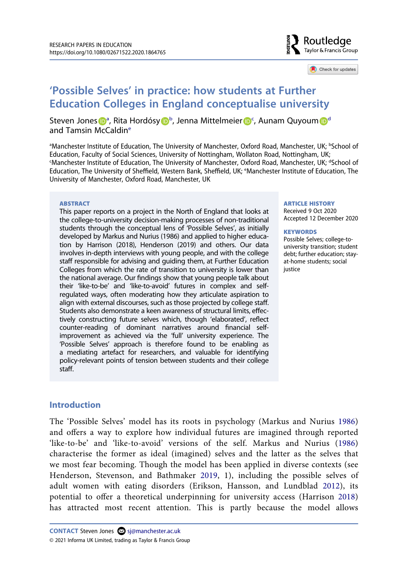

Check for updates

# **'Possible Selves' in practice: how students at Further Education Colleges in England conceptualise university**

Steven Jones D<sup>[a](#page-1-0)</sup>, Rita Hordósy D<sup>[b](#page-1-0)</sup>, Jenna Mittelmeie[r](http://orcid.org/0000-0002-6037-822X) D<sup>[c](#page-1-1)</sup>, Auna[m](http://orcid.org/0000-0003-3637-543X) Quyoum D<sup>[d](#page-1-1)</sup> and Tamsin McCaldi[ne](#page-1-2)

<span id="page-1-2"></span><span id="page-1-1"></span><span id="page-1-0"></span><sup>a</sup>Manchester Institute of Education, The University of Manchester, Oxford Road, Manchester, UK; <sup>b</sup>School of Education, Faculty of Social Sciences, University of Nottingham, Wollaton Road, Nottingham, UK; c Manchester Institute of Education, The University of Manchester, Oxford Road, Manchester, UK; dSchool of Education, The University of Sheffield, Western Bank, Sheffield, UK; <sup>e</sup>Manchester Institute of Education, The University of Manchester, Oxford Road, Manchester, UK

#### **ABSTRACT**

This paper reports on a project in the North of England that looks at the college-to-university decision-making processes of non-traditional students through the conceptual lens of 'Possible Selves', as initially developed by Markus and Nurius (1986) and applied to higher education by Harrison (2018), Henderson (2019) and others. Our data involves in-depth interviews with young people, and with the college staff responsible for advising and guiding them, at Further Education Colleges from which the rate of transition to university is lower than the national average. Our findings show that young people talk about their 'like-to-be' and 'like-to-avoid' futures in complex and selfregulated ways, often moderating how they articulate aspiration to align with external discourses, such as those projected by college staff. Students also demonstrate a keen awareness of structural limits, effectively constructing future selves which, though 'elaborated', reflect counter-reading of dominant narratives around financial selfimprovement as achieved via the 'full' university experience. The 'Possible Selves' approach is therefore found to be enabling as a mediating artefact for researchers, and valuable for identifying policy-relevant points of tension between students and their college staff.

#### **ARTICLE HISTORY**

Received 9 Oct 2020 Accepted 12 December 2020

#### **KEYWORDS**

Possible Selves; college-touniversity transition; student debt; further education; stayat-home students; social justice

#### **Introduction**

<span id="page-1-6"></span><span id="page-1-5"></span><span id="page-1-4"></span><span id="page-1-3"></span>The 'Possible Selves' model has its roots in psychology (Markus and Nurius [1986\)](#page-16-0) and offers a way to explore how individual futures are imagined through reported 'like-to-be' and 'like-to-avoid' versions of the self. Markus and Nurius ([1986\)](#page-16-0) characterise the former as ideal (imagined) selves and the latter as the selves that we most fear becoming. Though the model has been applied in diverse contexts (see Henderson, Stevenson, and Bathmaker [2019](#page-15-0), 1), including the possible selves of adult women with eating disorders (Erikson, Hansson, and Lundblad [2012](#page-15-1)), its potential to offer a theoretical underpinning for university access (Harrison [2018\)](#page-15-2) has attracted most recent attention. This is partly because the model allows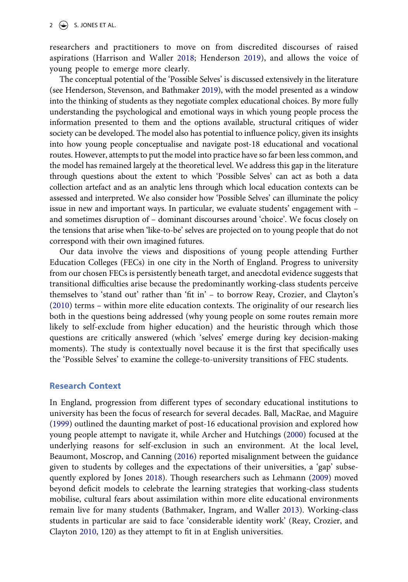<span id="page-2-4"></span>researchers and practitioners to move on from discredited discourses of raised aspirations (Harrison and Waller [2018;](#page-15-3) Henderson [2019\)](#page-15-4), and allows the voice of young people to emerge more clearly.

The conceptual potential of the 'Possible Selves' is discussed extensively in the literature (see Henderson, Stevenson, and Bathmaker [2019\)](#page-15-0), with the model presented as a window into the thinking of students as they negotiate complex educational choices. By more fully understanding the psychological and emotional ways in which young people process the information presented to them and the options available, structural critiques of wider society can be developed. The model also has potential to influence policy, given its insights into how young people conceptualise and navigate post-18 educational and vocational routes. However, attempts to put the model into practice have so far been less common, and the model has remained largely at the theoretical level. We address this gap in the literature through questions about the extent to which 'Possible Selves' can act as both a data collection artefact and as an analytic lens through which local education contexts can be assessed and interpreted. We also consider how 'Possible Selves' can illuminate the policy issue in new and important ways. In particular, we evaluate students' engagement with – and sometimes disruption of – dominant discourses around 'choice'. We focus closely on the tensions that arise when 'like-to-be' selves are projected on to young people that do not correspond with their own imagined futures.

Our data involve the views and dispositions of young people attending Further Education Colleges (FECs) in one city in the North of England. Progress to university from our chosen FECs is persistently beneath target, and anecdotal evidence suggests that transitional difficulties arise because the predominantly working-class students perceive themselves to 'stand out' rather than 'fit in' – to borrow Reay, Crozier, and Clayton's ([2010\)](#page-16-1) terms – within more elite education contexts. The originality of our research lies both in the questions being addressed (why young people on some routes remain more likely to self-exclude from higher education) and the heuristic through which those questions are critically answered (which 'selves' emerge during key decision-making moments). The study is contextually novel because it is the first that specifically uses the 'Possible Selves' to examine the college-to-university transitions of FEC students.

#### **Research Context**

<span id="page-2-6"></span><span id="page-2-5"></span><span id="page-2-3"></span><span id="page-2-2"></span><span id="page-2-1"></span><span id="page-2-0"></span>In England, progression from different types of secondary educational institutions to university has been the focus of research for several decades. Ball, MacRae, and Maguire ([1999\)](#page-14-0) outlined the daunting market of post-16 educational provision and explored how young people attempt to navigate it, while Archer and Hutchings ([2000\)](#page-14-1) focused at the underlying reasons for self-exclusion in such an environment. At the local level, Beaumont, Moscrop, and Canning [\(2016](#page-14-2)) reported misalignment between the guidance given to students by colleges and the expectations of their universities, a 'gap' subsequently explored by Jones [2018](#page-15-5)). Though researchers such as Lehmann ([2009](#page-16-2)) moved beyond deficit models to celebrate the learning strategies that working-class students mobilise, cultural fears about assimilation within more elite educational environments remain live for many students (Bathmaker, Ingram, and Waller [2013](#page-14-3)). Working-class students in particular are said to face 'considerable identity work' (Reay, Crozier, and Clayton [2010](#page-16-1), 120) as they attempt to fit in at English universities.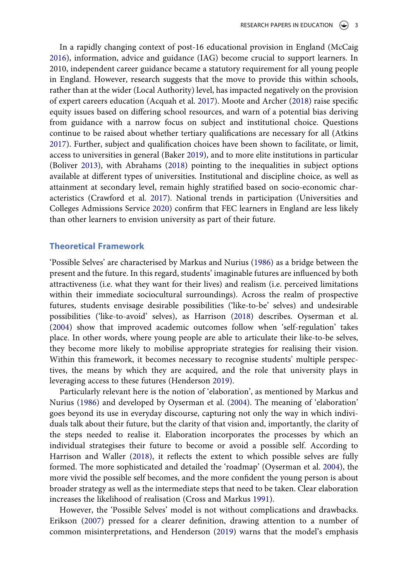<span id="page-3-7"></span><span id="page-3-2"></span><span id="page-3-1"></span>In a rapidly changing context of post-16 educational provision in England (McCaig [2016](#page-16-3)), information, advice and guidance (IAG) become crucial to support learners. In 2010, independent career guidance became a statutory requirement for all young people in England. However, research suggests that the move to provide this within schools, rather than at the wider (Local Authority) level, has impacted negatively on the provision of expert careers education (Acquah et al. [2017](#page-14-4)). Moote and Archer [\(2018](#page-16-4)) raise specific equity issues based on differing school resources, and warn of a potential bias deriving from guidance with a narrow focus on subject and institutional choice. Questions continue to be raised about whether tertiary qualifications are necessary for all (Atkins [2017](#page-14-5)). Further, subject and qualification choices have been shown to facilitate, or limit, access to universities in general (Baker [2019](#page-14-6)), and to more elite institutions in particular (Boliver [2013](#page-15-6)), with Abrahams [\(2018](#page-14-7)) pointing to the inequalities in subject options available at different types of universities. Institutional and discipline choice, as well as attainment at secondary level, remain highly stratified based on socio-economic characteristics (Crawford et al. [2017](#page-15-7)). National trends in participation (Universities and Colleges Admissions Service [2020\)](#page-16-5) confirm that FEC learners in England are less likely than other learners to envision university as part of their future.

#### <span id="page-3-9"></span><span id="page-3-4"></span><span id="page-3-3"></span><span id="page-3-0"></span>**Theoretical Framework**

'Possible Selves' are characterised by Markus and Nurius [\(1986](#page-16-0)) as a bridge between the present and the future. In this regard, students' imaginable futures are influenced by both attractiveness (i.e. what they want for their lives) and realism (i.e. perceived limitations within their immediate sociocultural surroundings). Across the realm of prospective futures, students envisage desirable possibilities ('like-to-be' selves) and undesirable possibilities ('like-to-avoid' selves), as Harrison ([2018](#page-15-2)) describes. Oyserman et al. ([2004\)](#page-16-6) show that improved academic outcomes follow when 'self-regulation' takes place. In other words, where young people are able to articulate their like-to-be selves, they become more likely to mobilise appropriate strategies for realising their vision. Within this framework, it becomes necessary to recognise students' multiple perspectives, the means by which they are acquired, and the role that university plays in leveraging access to these futures (Henderson [2019](#page-15-4)).

Particularly relevant here is the notion of 'elaboration', as mentioned by Markus and Nurius ([1986\)](#page-16-0) and developed by Oyserman et al. [\(2004\)](#page-16-6). The meaning of 'elaboration' goes beyond its use in everyday discourse, capturing not only the way in which individuals talk about their future, but the clarity of that vision and, importantly, the clarity of the steps needed to realise it. Elaboration incorporates the processes by which an individual strategises their future to become or avoid a possible self. According to Harrison and Waller [\(2018\)](#page-15-3), it reflects the extent to which possible selves are fully formed. The more sophisticated and detailed the 'roadmap' (Oyserman et al. [2004\)](#page-16-6), the more vivid the possible self becomes, and the more confident the young person is about broader strategy as well as the intermediate steps that need to be taken. Clear elaboration increases the likelihood of realisation (Cross and Markus [1991](#page-15-8)).

<span id="page-3-8"></span><span id="page-3-6"></span><span id="page-3-5"></span>However, the 'Possible Selves' model is not without complications and drawbacks. Erikson ([2007](#page-15-9)) pressed for a clearer definition, drawing attention to a number of common misinterpretations, and Henderson ([2019](#page-15-4)) warns that the model's emphasis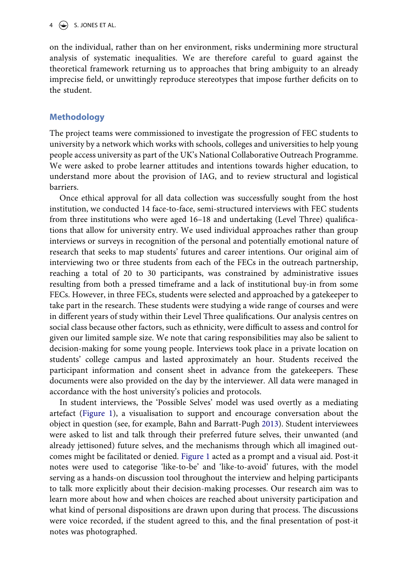$4 \quad (*)$  S. JONES ET AL.

on the individual, rather than on her environment, risks undermining more structural analysis of systematic inequalities. We are therefore careful to guard against the theoretical framework returning us to approaches that bring ambiguity to an already imprecise field, or unwittingly reproduce stereotypes that impose further deficits on to the student.

# **Methodology**

The project teams were commissioned to investigate the progression of FEC students to university by a network which works with schools, colleges and universities to help young people access university as part of the UK's National Collaborative Outreach Programme. We were asked to probe learner attitudes and intentions towards higher education, to understand more about the provision of IAG, and to review structural and logistical barriers.

Once ethical approval for all data collection was successfully sought from the host institution, we conducted 14 face-to-face, semi-structured interviews with FEC students from three institutions who were aged 16–18 and undertaking (Level Three) qualifications that allow for university entry. We used individual approaches rather than group interviews or surveys in recognition of the personal and potentially emotional nature of research that seeks to map students' futures and career intentions. Our original aim of interviewing two or three students from each of the FECs in the outreach partnership, reaching a total of 20 to 30 participants, was constrained by administrative issues resulting from both a pressed timeframe and a lack of institutional buy-in from some FECs. However, in three FECs, students were selected and approached by a gatekeeper to take part in the research. These students were studying a wide range of courses and were in different years of study within their Level Three qualifications. Our analysis centres on social class because other factors, such as ethnicity, were difficult to assess and control for given our limited sample size. We note that caring responsibilities may also be salient to decision-making for some young people. Interviews took place in a private location on students' college campus and lasted approximately an hour. Students received the participant information and consent sheet in advance from the gatekeepers. These documents were also provided on the day by the interviewer. All data were managed in accordance with the host university's policies and protocols.

<span id="page-4-0"></span>In student interviews, the 'Possible Selves' model was used overtly as a mediating artefact ([Figure 1\)](#page-5-0), a visualisation to support and encourage conversation about the object in question (see, for example, Bahn and Barratt-Pugh [2013\)](#page-14-8). Student interviewees were asked to list and talk through their preferred future selves, their unwanted (and already jettisoned) future selves, and the mechanisms through which all imagined outcomes might be facilitated or denied. [Figure 1](#page-5-0) acted as a prompt and a visual aid. Post-it notes were used to categorise 'like-to-be' and 'like-to-avoid' futures, with the model serving as a hands-on discussion tool throughout the interview and helping participants to talk more explicitly about their decision-making processes. Our research aim was to learn more about how and when choices are reached about university participation and what kind of personal dispositions are drawn upon during that process. The discussions were voice recorded, if the student agreed to this, and the final presentation of post-it notes was photographed.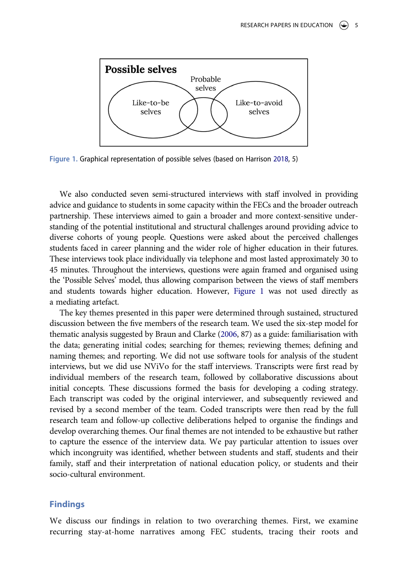<span id="page-5-0"></span>

**Figure 1.** Graphical representation of possible selves (based on Harrison [2018,](#page-15-2) 5)

We also conducted seven semi-structured interviews with staff involved in providing advice and guidance to students in some capacity within the FECs and the broader outreach partnership. These interviews aimed to gain a broader and more context-sensitive understanding of the potential institutional and structural challenges around providing advice to diverse cohorts of young people. Questions were asked about the perceived challenges students faced in career planning and the wider role of higher education in their futures. These interviews took place individually via telephone and most lasted approximately 30 to 45 minutes. Throughout the interviews, questions were again framed and organised using the 'Possible Selves' model, thus allowing comparison between the views of staff members and students towards higher education. However, [Figure 1](#page-5-0) was not used directly as a mediating artefact.

<span id="page-5-1"></span>The key themes presented in this paper were determined through sustained, structured discussion between the five members of the research team. We used the six-step model for thematic analysis suggested by Braun and Clarke ([2006,](#page-15-10) 87) as a guide: familiarisation with the data; generating initial codes; searching for themes; reviewing themes; defining and naming themes; and reporting. We did not use software tools for analysis of the student interviews, but we did use NViVo for the staff interviews. Transcripts were first read by individual members of the research team, followed by collaborative discussions about initial concepts. These discussions formed the basis for developing a coding strategy. Each transcript was coded by the original interviewer, and subsequently reviewed and revised by a second member of the team. Coded transcripts were then read by the full research team and follow-up collective deliberations helped to organise the findings and develop overarching themes. Our final themes are not intended to be exhaustive but rather to capture the essence of the interview data. We pay particular attention to issues over which incongruity was identified, whether between students and staff, students and their family, staff and their interpretation of national education policy, or students and their socio-cultural environment.

#### **Findings**

We discuss our findings in relation to two overarching themes. First, we examine recurring stay-at-home narratives among FEC students, tracing their roots and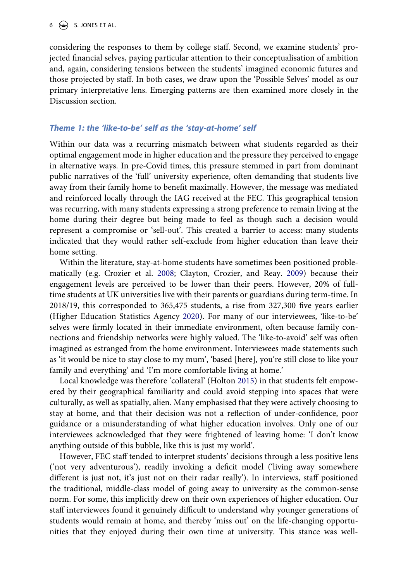considering the responses to them by college staff. Second, we examine students' projected financial selves, paying particular attention to their conceptualisation of ambition and, again, considering tensions between the students' imagined economic futures and those projected by staff. In both cases, we draw upon the 'Possible Selves' model as our primary interpretative lens. Emerging patterns are then examined more closely in the Discussion section.

#### *Theme 1: the 'like-to-be' self as the 'stay-at-home' self*

Within our data was a recurring mismatch between what students regarded as their optimal engagement mode in higher education and the pressure they perceived to engage in alternative ways. In pre-Covid times, this pressure stemmed in part from dominant public narratives of the 'full' university experience, often demanding that students live away from their family home to benefit maximally. However, the message was mediated and reinforced locally through the IAG received at the FEC. This geographical tension was recurring, with many students expressing a strong preference to remain living at the home during their degree but being made to feel as though such a decision would represent a compromise or 'sell-out'. This created a barrier to access: many students indicated that they would rather self-exclude from higher education than leave their home setting.

<span id="page-6-1"></span><span id="page-6-0"></span>Within the literature, stay-at-home students have sometimes been positioned problematically (e.g. Crozier et al. [2008;](#page-15-11) Clayton, Crozier, and Reay. [2009\)](#page-15-12) because their engagement levels are perceived to be lower than their peers. However, 20% of fulltime students at UK universities live with their parents or guardians during term-time. In 2018/19, this corresponded to 365,475 students, a rise from 327,300 five years earlier (Higher Education Statistics Agency [2020](#page-15-13)). For many of our interviewees, 'like-to-be' selves were firmly located in their immediate environment, often because family connections and friendship networks were highly valued. The 'like-to-avoid' self was often imagined as estranged from the home environment. Interviewees made statements such as 'it would be nice to stay close to my mum', 'based [here], you're still close to like your family and everything' and 'I'm more comfortable living at home.'

<span id="page-6-2"></span>Local knowledge was therefore 'collateral' (Holton [2015\)](#page-15-14) in that students felt empowered by their geographical familiarity and could avoid stepping into spaces that were culturally, as well as spatially, alien. Many emphasised that they were actively choosing to stay at home, and that their decision was not a reflection of under-confidence, poor guidance or a misunderstanding of what higher education involves. Only one of our interviewees acknowledged that they were frightened of leaving home: 'I don't know anything outside of this bubble, like this is just my world'.

However, FEC staff tended to interpret students' decisions through a less positive lens ('not very adventurous'), readily invoking a deficit model ('living away somewhere different is just not, it's just not on their radar really'). In interviews, staff positioned the traditional, middle-class model of going away to university as the common-sense norm. For some, this implicitly drew on their own experiences of higher education. Our staff interviewees found it genuinely difficult to understand why younger generations of students would remain at home, and thereby 'miss out' on the life-changing opportunities that they enjoyed during their own time at university. This stance was well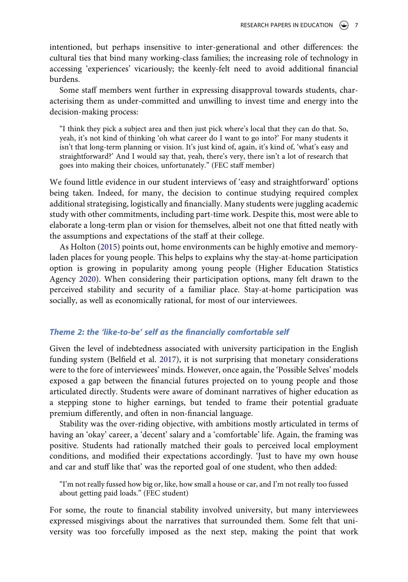intentioned, but perhaps insensitive to inter-generational and other differences: the cultural ties that bind many working-class families; the increasing role of technology in accessing 'experiences' vicariously; the keenly-felt need to avoid additional financial burdens.

Some staff members went further in expressing disapproval towards students, characterising them as under-committed and unwilling to invest time and energy into the decision-making process:

"I think they pick a subject area and then just pick where's local that they can do that. So, yeah, it's not kind of thinking 'oh what career do I want to go into?' For many students it isn't that long-term planning or vision. It's just kind of, again, it's kind of, 'what's easy and straightforward?' And I would say that, yeah, there's very, there isn't a lot of research that goes into making their choices, unfortunately." (FEC staff member)

We found little evidence in our student interviews of 'easy and straightforward' options being taken. Indeed, for many, the decision to continue studying required complex additional strategising, logistically and financially. Many students were juggling academic study with other commitments, including part-time work. Despite this, most were able to elaborate a long-term plan or vision for themselves, albeit not one that fitted neatly with the assumptions and expectations of the staff at their college.

As Holton [\(2015\)](#page-15-14) points out, home environments can be highly emotive and memoryladen places for young people. This helps to explains why the stay-at-home participation option is growing in popularity among young people (Higher Education Statistics Agency [2020\)](#page-15-13). When considering their participation options, many felt drawn to the perceived stability and security of a familiar place. Stay-at-home participation was socially, as well as economically rational, for most of our interviewees.

#### *Theme 2: the 'like-to-be' self as the financially comfortable self*

<span id="page-7-0"></span>Given the level of indebtedness associated with university participation in the English funding system (Belfield et al. [2017](#page-15-15)), it is not surprising that monetary considerations were to the fore of interviewees' minds. However, once again, the 'Possible Selves' models exposed a gap between the financial futures projected on to young people and those articulated directly. Students were aware of dominant narratives of higher education as a stepping stone to higher earnings, but tended to frame their potential graduate premium differently, and often in non-financial language.

Stability was the over-riding objective, with ambitions mostly articulated in terms of having an 'okay' career, a 'decent' salary and a 'comfortable' life. Again, the framing was positive. Students had rationally matched their goals to perceived local employment conditions, and modified their expectations accordingly. 'Just to have my own house and car and stuff like that' was the reported goal of one student, who then added:

"I'm not really fussed how big or, like, how small a house or car, and I'm not really too fussed about getting paid loads." (FEC student)

For some, the route to financial stability involved university, but many interviewees expressed misgivings about the narratives that surrounded them. Some felt that university was too forcefully imposed as the next step, making the point that work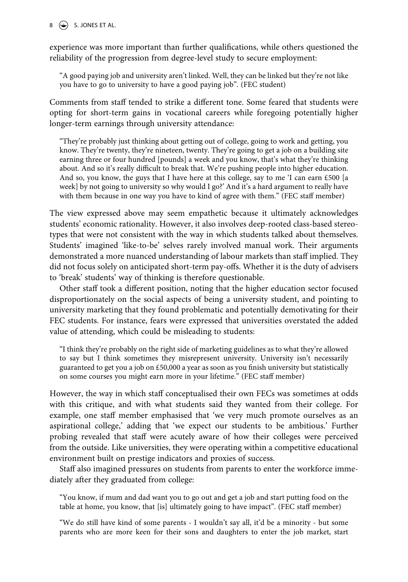$8 \quad (*)$  S. JONES ET AL.

experience was more important than further qualifications, while others questioned the reliability of the progression from degree-level study to secure employment:

"A good paying job and university aren't linked. Well, they can be linked but they're not like you have to go to university to have a good paying job". (FEC student)

Comments from staff tended to strike a different tone. Some feared that students were opting for short-term gains in vocational careers while foregoing potentially higher longer-term earnings through university attendance:

"They're probably just thinking about getting out of college, going to work and getting, you know. They're twenty, they're nineteen, twenty. They're going to get a job on a building site earning three or four hundred [pounds] a week and you know, that's what they're thinking about. And so it's really difficult to break that. We're pushing people into higher education. And so, you know, the guys that I have here at this college, say to me 'I can earn  $£500$  [a week] by not going to university so why would I go?' And it's a hard argument to really have with them because in one way you have to kind of agree with them." (FEC staff member)

The view expressed above may seem empathetic because it ultimately acknowledges students' economic rationality. However, it also involves deep-rooted class-based stereotypes that were not consistent with the way in which students talked about themselves. Students' imagined 'like-to-be' selves rarely involved manual work. Their arguments demonstrated a more nuanced understanding of labour markets than staff implied. They did not focus solely on anticipated short-term pay-offs. Whether it is the duty of advisers to 'break' students' way of thinking is therefore questionable.

Other staff took a different position, noting that the higher education sector focused disproportionately on the social aspects of being a university student, and pointing to university marketing that they found problematic and potentially demotivating for their FEC students. For instance, fears were expressed that universities overstated the added value of attending, which could be misleading to students:

"I think they're probably on the right side of marketing guidelines as to what they're allowed to say but I think sometimes they misrepresent university. University isn't necessarily guaranteed to get you a job on £50,000 a year as soon as you finish university but statistically on some courses you might earn more in your lifetime." (FEC staff member)

However, the way in which staff conceptualised their own FECs was sometimes at odds with this critique, and with what students said they wanted from their college. For example, one staff member emphasised that 'we very much promote ourselves as an aspirational college,' adding that 'we expect our students to be ambitious.' Further probing revealed that staff were acutely aware of how their colleges were perceived from the outside. Like universities, they were operating within a competitive educational environment built on prestige indicators and proxies of success.

Staff also imagined pressures on students from parents to enter the workforce immediately after they graduated from college:

"You know, if mum and dad want you to go out and get a job and start putting food on the table at home, you know, that [is] ultimately going to have impact". (FEC staff member)

"We do still have kind of some parents - I wouldn't say all, it'd be a minority - but some parents who are more keen for their sons and daughters to enter the job market, start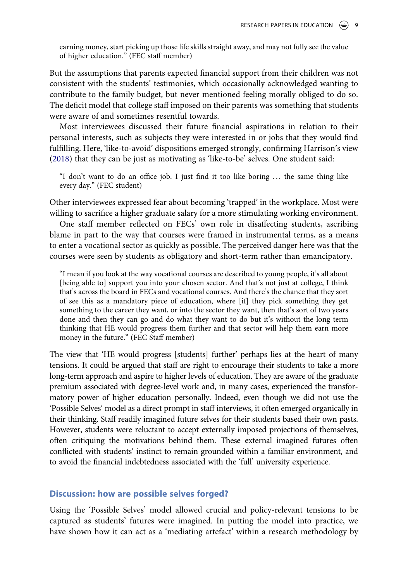earning money, start picking up those life skills straight away, and may not fully see the value of higher education." (FEC staff member)

But the assumptions that parents expected financial support from their children was not consistent with the students' testimonies, which occasionally acknowledged wanting to contribute to the family budget, but never mentioned feeling morally obliged to do so. The deficit model that college staff imposed on their parents was something that students were aware of and sometimes resentful towards.

Most interviewees discussed their future financial aspirations in relation to their personal interests, such as subjects they were interested in or jobs that they would find fulfilling. Here, 'like-to-avoid' dispositions emerged strongly, confirming Harrison's view ([2018\)](#page-15-2) that they can be just as motivating as 'like-to-be' selves. One student said:

"I don't want to do an office job. I just find it too like boring . . . the same thing like every day." (FEC student)

Other interviewees expressed fear about becoming 'trapped' in the workplace. Most were willing to sacrifice a higher graduate salary for a more stimulating working environment.

One staff member reflected on FECs' own role in disaffecting students, ascribing blame in part to the way that courses were framed in instrumental terms, as a means to enter a vocational sector as quickly as possible. The perceived danger here was that the courses were seen by students as obligatory and short-term rather than emancipatory.

"I mean if you look at the way vocational courses are described to young people, it's all about [being able to] support you into your chosen sector. And that's not just at college, I think that's across the board in FECs and vocational courses. And there's the chance that they sort of see this as a mandatory piece of education, where [if] they pick something they get something to the career they want, or into the sector they want, then that's sort of two years done and then they can go and do what they want to do but it's without the long term thinking that HE would progress them further and that sector will help them earn more money in the future." (FEC Staff member)

The view that 'HE would progress [students] further' perhaps lies at the heart of many tensions. It could be argued that staff are right to encourage their students to take a more long-term approach and aspire to higher levels of education. They are aware of the graduate premium associated with degree-level work and, in many cases, experienced the transformatory power of higher education personally. Indeed, even though we did not use the 'Possible Selves' model as a direct prompt in staff interviews, it often emerged organically in their thinking. Staff readily imagined future selves for their students based their own pasts. However, students were reluctant to accept externally imposed projections of themselves, often critiquing the motivations behind them. These external imagined futures often conflicted with students' instinct to remain grounded within a familiar environment, and to avoid the financial indebtedness associated with the 'full' university experience.

#### **Discussion: how are possible selves forged?**

Using the 'Possible Selves' model allowed crucial and policy-relevant tensions to be captured as students' futures were imagined. In putting the model into practice, we have shown how it can act as a 'mediating artefact' within a research methodology by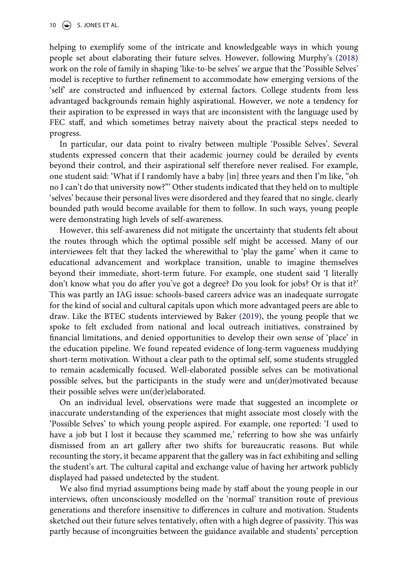<span id="page-10-0"></span>helping to exemplify some of the intricate and knowledgeable ways in which young people set about elaborating their future selves. However, following Murphy's [\(2018\)](#page-16-7) work on the role of family in shaping 'like-to-be selves' we argue that the 'Possible Selves' model is receptive to further refinement to accommodate how emerging versions of the 'self' are constructed and influenced by external factors. College students from less advantaged backgrounds remain highly aspirational. However, we note a tendency for their aspiration to be expressed in ways that are inconsistent with the language used by FEC staff, and which sometimes betray naivety about the practical steps needed to progress.

In particular, our data point to rivalry between multiple 'Possible Selves'. Several students expressed concern that their academic journey could be derailed by events beyond their control, and their aspirational self therefore never realised. For example, one student said: 'What if I randomly have a baby [in] three years and then I'm like, "oh no I can't do that university now?"' Other students indicated that they held on to multiple 'selves' because their personal lives were disordered and they feared that no single, clearly bounded path would become available for them to follow. In such ways, young people were demonstrating high levels of self-awareness.

However, this self-awareness did not mitigate the uncertainty that students felt about the routes through which the optimal possible self might be accessed. Many of our interviewees felt that they lacked the wherewithal to 'play the game' when it came to educational advancement and workplace transition, unable to imagine themselves beyond their immediate, short-term future. For example, one student said 'I literally don't know what you do after you've got a degree? Do you look for jobs? Or is that it?' This was partly an IAG issue: schools-based careers advice was an inadequate surrogate for the kind of social and cultural capitals upon which more advantaged peers are able to draw. Like the BTEC students interviewed by Baker ([2019](#page-14-6)), the young people that we spoke to felt excluded from national and local outreach initiatives, constrained by financial limitations, and denied opportunities to develop their own sense of 'place' in the education pipeline. We found repeated evidence of long-term vagueness muddying short-term motivation. Without a clear path to the optimal self, some students struggled to remain academically focused. Well-elaborated possible selves can be motivational possible selves, but the participants in the study were and un(der)motivated because their possible selves were un(der)elaborated.

On an individual level, observations were made that suggested an incomplete or inaccurate understanding of the experiences that might associate most closely with the 'Possible Selves' to which young people aspired. For example, one reported: 'I used to have a job but I lost it because they scammed me,' referring to how she was unfairly dismissed from an art gallery after two shifts for bureaucratic reasons. But while recounting the story, it became apparent that the gallery was in fact exhibiting and selling the student's art. The cultural capital and exchange value of having her artwork publicly displayed had passed undetected by the student.

We also find myriad assumptions being made by staff about the young people in our interviews, often unconsciously modelled on the 'normal' transition route of previous generations and therefore insensitive to differences in culture and motivation. Students sketched out their future selves tentatively, often with a high degree of passivity. This was partly because of incongruities between the guidance available and students' perception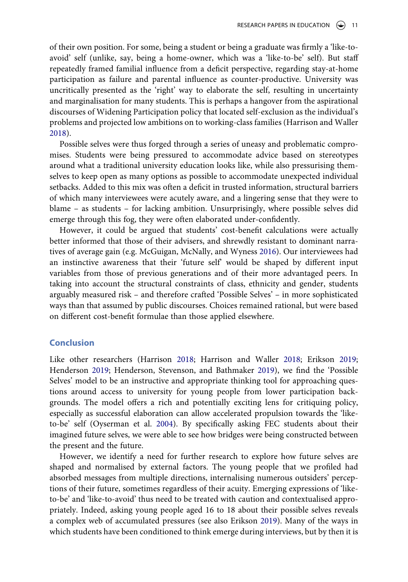of their own position. For some, being a student or being a graduate was firmly a 'like-toavoid' self (unlike, say, being a home-owner, which was a 'like-to-be' self). But staff repeatedly framed familial influence from a deficit perspective, regarding stay-at-home participation as failure and parental influence as counter-productive. University was uncritically presented as the 'right' way to elaborate the self, resulting in uncertainty and marginalisation for many students. This is perhaps a hangover from the aspirational discourses of Widening Participation policy that located self-exclusion as the individual's problems and projected low ambitions on to working-class families (Harrison and Waller [2018](#page-15-3)).

Possible selves were thus forged through a series of uneasy and problematic compromises. Students were being pressured to accommodate advice based on stereotypes around what a traditional university education looks like, while also pressurising themselves to keep open as many options as possible to accommodate unexpected individual setbacks. Added to this mix was often a deficit in trusted information, structural barriers of which many interviewees were acutely aware, and a lingering sense that they were to blame – as students – for lacking ambition. Unsurprisingly, where possible selves did emerge through this fog, they were often elaborated under-confidently.

<span id="page-11-1"></span>However, it could be argued that students' cost-benefit calculations were actually better informed that those of their advisers, and shrewdly resistant to dominant narratives of average gain (e.g. McGuigan, McNally, and Wyness [2016](#page-16-8)). Our interviewees had an instinctive awareness that their 'future self' would be shaped by different input variables from those of previous generations and of their more advantaged peers. In taking into account the structural constraints of class, ethnicity and gender, students arguably measured risk – and therefore crafted 'Possible Selves' – in more sophisticated ways than that assumed by public discourses. Choices remained rational, but were based on different cost-benefit formulae than those applied elsewhere.

# **Conclusion**

Like other researchers (Harrison [2018](#page-15-2); Harrison and Waller [2018](#page-15-3); Erikson [2019;](#page-15-16) Henderson [2019](#page-15-4); Henderson, Stevenson, and Bathmaker [2019\)](#page-15-0), we find the 'Possible Selves' model to be an instructive and appropriate thinking tool for approaching questions around access to university for young people from lower participation backgrounds. The model offers a rich and potentially exciting lens for critiquing policy, especially as successful elaboration can allow accelerated propulsion towards the 'liketo-be' self (Oyserman et al. [2004](#page-16-6)). By specifically asking FEC students about their imagined future selves, we were able to see how bridges were being constructed between the present and the future.

<span id="page-11-0"></span>However, we identify a need for further research to explore how future selves are shaped and normalised by external factors. The young people that we profiled had absorbed messages from multiple directions, internalising numerous outsiders' perceptions of their future, sometimes regardless of their acuity. Emerging expressions of 'liketo-be' and 'like-to-avoid' thus need to be treated with caution and contextualised appropriately. Indeed, asking young people aged 16 to 18 about their possible selves reveals a complex web of accumulated pressures (see also Erikson [2019](#page-15-16)). Many of the ways in which students have been conditioned to think emerge during interviews, but by then it is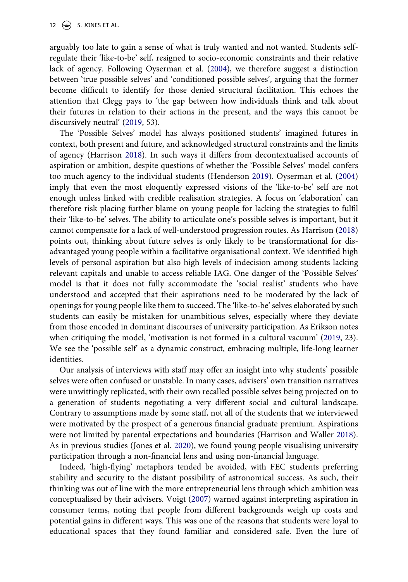12  $\left(\rightarrow\right)$  S. JONES ET AL.

arguably too late to gain a sense of what is truly wanted and not wanted. Students selfregulate their 'like-to-be' self, resigned to socio-economic constraints and their relative lack of agency. Following Oyserman et al. [\(2004](#page-16-6)), we therefore suggest a distinction between 'true possible selves' and 'conditioned possible selves', arguing that the former become difficult to identify for those denied structural facilitation. This echoes the attention that Clegg pays to 'the gap between how individuals think and talk about their futures in relation to their actions in the present, and the ways this cannot be discursively neutral' ([2019,](#page-15-17) 53).

<span id="page-12-0"></span>The 'Possible Selves' model has always positioned students' imagined futures in context, both present and future, and acknowledged structural constraints and the limits of agency (Harrison [2018\)](#page-15-2). In such ways it differs from decontextualised accounts of aspiration or ambition, despite questions of whether the 'Possible Selves' model confers too much agency to the individual students (Henderson [2019](#page-15-4)). Oyserman et al. [\(2004\)](#page-16-6) imply that even the most eloquently expressed visions of the 'like-to-be' self are not enough unless linked with credible realisation strategies. A focus on 'elaboration' can therefore risk placing further blame on young people for lacking the strategies to fulfil their 'like-to-be' selves. The ability to articulate one's possible selves is important, but it cannot compensate for a lack of well-understood progression routes. As Harrison [\(2018\)](#page-15-2) points out, thinking about future selves is only likely to be transformational for disadvantaged young people within a facilitative organisational context. We identified high levels of personal aspiration but also high levels of indecision among students lacking relevant capitals and unable to access reliable IAG. One danger of the 'Possible Selves' model is that it does not fully accommodate the 'social realist' students who have understood and accepted that their aspirations need to be moderated by the lack of openings for young people like them to succeed. The 'like-to-be' selves elaborated by such students can easily be mistaken for unambitious selves, especially where they deviate from those encoded in dominant discourses of university participation. As Erikson notes when critiquing the model, 'motivation is not formed in a cultural vacuum' [\(2019](#page-15-16), 23). We see the 'possible self' as a dynamic construct, embracing multiple, life-long learner identities.

Our analysis of interviews with staff may offer an insight into why students' possible selves were often confused or unstable. In many cases, advisers' own transition narratives were unwittingly replicated, with their own recalled possible selves being projected on to a generation of students negotiating a very different social and cultural landscape. Contrary to assumptions made by some staff, not all of the students that we interviewed were motivated by the prospect of a generous financial graduate premium. Aspirations were not limited by parental expectations and boundaries (Harrison and Waller [2018](#page-15-3)). As in previous studies (Jones et al. [2020\)](#page-15-18), we found young people visualising university participation through a non-financial lens and using non-financial language.

<span id="page-12-2"></span><span id="page-12-1"></span>Indeed, 'high-flying' metaphors tended be avoided, with FEC students preferring stability and security to the distant possibility of astronomical success. As such, their thinking was out of line with the more entrepreneurial lens through which ambition was conceptualised by their advisers. Voigt [\(2007\)](#page-16-9) warned against interpreting aspiration in consumer terms, noting that people from different backgrounds weigh up costs and potential gains in different ways. This was one of the reasons that students were loyal to educational spaces that they found familiar and considered safe. Even the lure of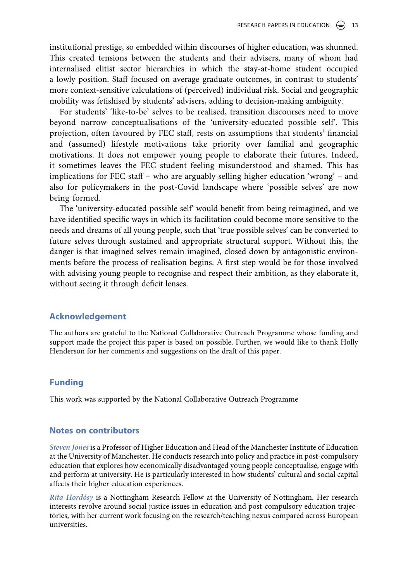institutional prestige, so embedded within discourses of higher education, was shunned. This created tensions between the students and their advisers, many of whom had internalised elitist sector hierarchies in which the stay-at-home student occupied a lowly position. Staff focused on average graduate outcomes, in contrast to students' more context-sensitive calculations of (perceived) individual risk. Social and geographic mobility was fetishised by students' advisers, adding to decision-making ambiguity.

For students' 'like-to-be' selves to be realised, transition discourses need to move beyond narrow conceptualisations of the 'university-educated possible self'. This projection, often favoured by FEC staff, rests on assumptions that students' financial and (assumed) lifestyle motivations take priority over familial and geographic motivations. It does not empower young people to elaborate their futures. Indeed, it sometimes leaves the FEC student feeling misunderstood and shamed. This has implications for FEC staff – who are arguably selling higher education 'wrong' – and also for policymakers in the post-Covid landscape where 'possible selves' are now being formed.

The 'university-educated possible self' would benefit from being reimagined, and we have identified specific ways in which its facilitation could become more sensitive to the needs and dreams of all young people, such that 'true possible selves' can be converted to future selves through sustained and appropriate structural support. Without this, the danger is that imagined selves remain imagined, closed down by antagonistic environments before the process of realisation begins. A first step would be for those involved with advising young people to recognise and respect their ambition, as they elaborate it, without seeing it through deficit lenses.

#### **Acknowledgement**

The authors are grateful to the National Collaborative Outreach Programme whose funding and support made the project this paper is based on possible. Further, we would like to thank Holly Henderson for her comments and suggestions on the draft of this paper.

# **Funding**

This work was supported by the National Collaborative Outreach Programme

#### **Notes on contributors**

*Steven Jones* is a Professor of Higher Education and Head of the Manchester Institute of Education at the University of Manchester. He conducts research into policy and practice in post-compulsory education that explores how economically disadvantaged young people conceptualise, engage with and perform at university. He is particularly interested in how students' cultural and social capital affects their higher education experiences.

*Rita Hordósy* is a Nottingham Research Fellow at the University of Nottingham. Her research interests revolve around social justice issues in education and post-compulsory education trajectories, with her current work focusing on the research/teaching nexus compared across European universities.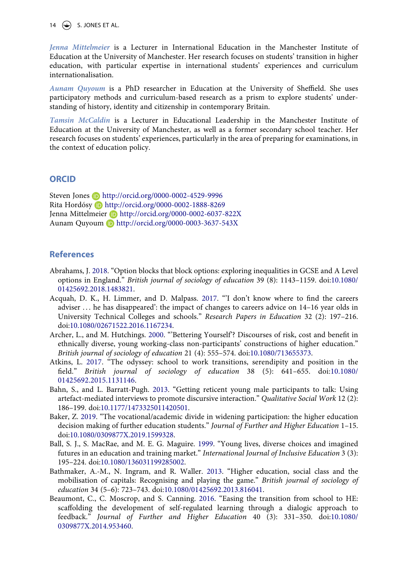14  $\left(\rightarrow\right)$  S. JONES ET AL.

*Jenna Mittelmeier* is a Lecturer in International Education in the Manchester Institute of Education at the University of Manchester. Her research focuses on students' transition in higher education, with particular expertise in international students' experiences and curriculum internationalisation.

*Aunam Quyoum* is a PhD researcher in Education at the University of Sheffield. She uses participatory methods and curriculum-based research as a prism to explore students' understanding of history, identity and citizenship in contemporary Britain.

*Tamsin McCaldin* is a Lecturer in Educational Leadership in the Manchester Institute of Education at the University of Manchester, as well as a former secondary school teacher. Her research focuses on students' experiences, particularly in the area of preparing for examinations, in the context of education policy.

#### **ORCID**

Steven Jones **b** http://orcid.org/0000-0002-4529-9996 Rita Hordósy Dhttp://orcid.org/0000-0002-1888-8269 Jenna Mittelmeier Dhttp://orcid.org/0000-0002-6037-822X Aunam Quyoum **b** http://orcid.org/0000-0003-3637-543X

#### **References**

- <span id="page-14-7"></span>Abrahams, J. [2018.](#page-3-0) "Option blocks that block options: exploring inequalities in GCSE and A Level options in England." *British journal of sociology of education* 39 (8): 1143–1159. doi:[10.1080/](https://doi.org/10.1080/01425692.2018.1483821) [01425692.2018.1483821.](https://doi.org/10.1080/01425692.2018.1483821)
- <span id="page-14-4"></span>Acquah, D. K., H. Limmer, and D. Malpass. [2017](#page-3-1). "'I don't know where to find the careers adviser . . . he has disappeared': the impact of changes to careers advice on 14–16 year olds in University Technical Colleges and schools." *Research Papers in Education* 32 (2): 197–216. doi:[10.1080/02671522.2016.1167234](https://doi.org/10.1080/02671522.2016.1167234).
- <span id="page-14-1"></span>Archer, L., and M. Hutchings. [2000.](#page-2-0) "'Bettering Yourself'? Discourses of risk, cost and benefit in ethnically diverse, young working-class non-participants' constructions of higher education." *British journal of sociology of education* 21 (4): 555–574. doi:[10.1080/713655373](https://doi.org/10.1080/713655373).
- <span id="page-14-5"></span>Atkins, L. [2017](#page-3-2). "The odyssey: school to work transitions, serendipity and position in the field." *British journal of sociology of education* 38 (5): 641–655. doi:[10.1080/](https://doi.org/10.1080/01425692.2015.1131146) [01425692.2015.1131146.](https://doi.org/10.1080/01425692.2015.1131146)
- <span id="page-14-8"></span>Bahn, S., and L. Barratt-Pugh. [2013](#page-4-0). "Getting reticent young male participants to talk: Using artefact-mediated interviews to promote discursive interaction." *Qualitative Social Work* 12 (2): 186–199. doi:[10.1177/1473325011420501](https://doi.org/10.1177/1473325011420501).
- <span id="page-14-6"></span>Baker, Z. [2019.](#page-3-3) "The vocational/academic divide in widening participation: the higher education decision making of further education students." *Journal of Further and Higher Education* 1–15. doi:[10.1080/0309877X.2019.1599328.](https://doi.org/10.1080/0309877X.2019.1599328)
- <span id="page-14-0"></span>Ball, S. J., S. MacRae, and M. E. G. Maguire. [1999.](#page-2-1) "Young lives, diverse choices and imagined futures in an education and training market." *International Journal of Inclusive Education* 3 (3): 195–224. doi:[10.1080/136031199285002.](https://doi.org/10.1080/136031199285002)
- <span id="page-14-3"></span>Bathmaker, A.-M., N. Ingram, and R. Waller. [2013](#page-2-2). "Higher education, social class and the mobilisation of capitals: Recognising and playing the game." *British journal of sociology of education* 34 (5–6): 723–743. doi:[10.1080/01425692.2013.816041.](https://doi.org/10.1080/01425692.2013.816041)
- <span id="page-14-2"></span>Beaumont, C., C. Moscrop, and S. Canning. [2016](#page-2-3). "Easing the transition from school to HE: scaffolding the development of self-regulated learning through a dialogic approach to feedback." *Journal of Further and Higher Education* 40 (3): 331–350. doi:[10.1080/](https://doi.org/10.1080/0309877X.2014.953460) [0309877X.2014.953460.](https://doi.org/10.1080/0309877X.2014.953460)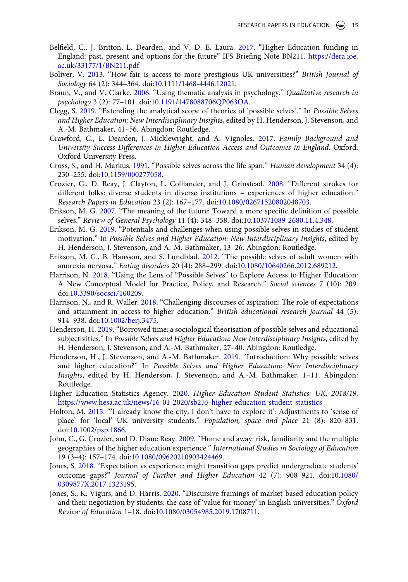- <span id="page-15-15"></span>Belfield, C., J. Britton, L. Dearden, and V. D. E. Laura. [2017.](#page-7-0) "Higher Education funding in England: past, present and options for the future" IFS Briefing Note BN211. [https://dera.ioe.](https://dera.ioe.ac.uk/33177/1/BN211.pdf) [ac.uk/33177/1/BN211.pdf](https://dera.ioe.ac.uk/33177/1/BN211.pdf)
- <span id="page-15-6"></span>Boliver, V. [2013](#page-3-0). "How fair is access to more prestigious UK universities?" *British Journal of Sociology* 64 (2): 344–364. doi:[10.1111/1468-4446.12021](https://doi.org/10.1111/1468-4446.12021).
- <span id="page-15-10"></span>Braun, V., and V. Clarke. [2006](#page-5-1). "Using thematic analysis in psychology." *Qualitative research in psychology* 3 (2): 77–101. doi:[10.1191/1478088706QP063OA.](https://doi.org/10.1191/1478088706QP063OA)
- <span id="page-15-17"></span>Clegg, S. [2019.](#page-12-0) "Extending the analytical scope of theories of 'possible selves'." In *Possible Selves and Higher Education: New Interdisciplinary Insights*, edited by H. Henderson, J. Stevenson, and A.-M. Bathmaker, 41–56. Abingdon: Routledge.
- <span id="page-15-7"></span>Crawford, C., L. Dearden, J. Micklewright, and A. Vignoles. [2017.](#page-3-4) *Family Background and University Success Differences in Higher Education Access and Outcomes in England*. Oxford: Oxford University Press.
- <span id="page-15-8"></span>Cross, S., and H. Markus. [1991.](#page-3-5) "Possible selves across the life span." *Human development* 34 (4): 230–255. doi:[10.1159/000277058](https://doi.org/10.1159/000277058).
- <span id="page-15-11"></span>Crozier, G., D. Reay, J. Clayton, L. Colliander, and J. Grinstead. [2008](#page-6-0). "Different strokes for different folks: diverse students in diverse institutions – experiences of higher education." *Research Papers in Education* 23 (2): 167–177. doi:[10.1080/02671520802048703.](https://doi.org/10.1080/02671520802048703)
- <span id="page-15-9"></span>Erikson, M. G. [2007.](#page-3-6) "The meaning of the future: Toward a more specific definition of possible selves." *Review of General Psychology* 11 (4): 348–358. doi:[10.1037/1089-2680.11.4.348.](https://doi.org/10.1037/1089-2680.11.4.348)
- <span id="page-15-16"></span>Erikson, M. G. [2019.](#page-11-0) "Potentials and challenges when using possible selves in studies of student motivation." In *Possible Selves and Higher Education: New Interdisciplinary Insights*, edited by H. Henderson, J. Stevenson, and A.-M. Bathmaker, 13–26. Abingdon: Routledge.
- <span id="page-15-1"></span>Erikson, M. G., B. Hansson, and S. Lundblad. [2012](#page-1-3). "The possible selves of adult women with anorexia nervosa." *Eating disorders* 20 (4): 288–299. doi:[10.1080/10640266.2012.689212](https://doi.org/10.1080/10640266.2012.689212).
- <span id="page-15-2"></span>Harrison, N. [2018](#page-1-4). "Using the Lens of "Possible Selves" to Explore Access to Higher Education: A New Conceptual Model for Practice, Policy, and Research." *Social sciences* 7 (10): 209. doi:[10.3390/socsci7100209.](https://doi.org/10.3390/socsci7100209)
- <span id="page-15-3"></span>Harrison, N., and R. Waller. [2018.](#page-2-4) "Challenging discourses of aspiration: The role of expectations and attainment in access to higher education." *British educational research journal* 44 (5): 914–938. doi:[10.1002/berj.3475.](https://doi.org/10.1002/berj.3475)
- <span id="page-15-4"></span>Henderson, H. [2019](#page-2-4). "Borrowed time: a sociological theorisation of possible selves and educational subjectivities." In *Possible Selves and Higher Education: New Interdisciplinary Insights*, edited by H. Henderson, J. Stevenson, and A.-M. Bathmaker, 27–40. Abingdon: Routledge.
- <span id="page-15-0"></span>Henderson, H., J. Stevenson, and A.-M. Bathmaker. [2019.](#page-1-5) "Introduction: Why possible selves and higher education?" In *Possible Selves and Higher Education: New Interdisciplinary Insights*, edited by H. Henderson, J. Stevenson, and A.-M. Bathmaker, 1–11. Abingdon: Routledge.
- <span id="page-15-13"></span>Higher Education Statistics Agency. [2020](#page-6-1). *Higher Education Student Statistics: UK, 2018/19*. <https://www.hesa.ac.uk/news/16-01-2020/sb255-higher-education-student-statistics>
- <span id="page-15-14"></span>Holton, M. [2015.](#page-6-2) "'I already know the city, I don't have to explore it': Adjustments to 'sense of place' for 'local' UK university students." *Population, space and place* 21 (8): 820–831. doi:[10.1002/psp.1866](https://doi.org/10.1002/psp.1866).
- <span id="page-15-12"></span>John, C., G. Crozier, and D. Diane Reay. [2009.](#page-6-0) "Home and away: risk, familiarity and the multiple geographies of the higher education experience." *International Studies in Sociology of Education*  19 (3–4): 157–174. doi:[10.1080/09620210903424469](https://doi.org/10.1080/09620210903424469).
- <span id="page-15-5"></span>Jones, S. [2018.](#page-2-5) "Expectation vs experience: might transition gaps predict undergraduate students' outcome gaps?" *Journal of Further and Higher Education* 42 (7): 908–921. doi:[10.1080/](https://doi.org/10.1080/0309877X.2017.1323195) [0309877X.2017.1323195.](https://doi.org/10.1080/0309877X.2017.1323195)
- <span id="page-15-18"></span>Jones, S., K. Vigurs, and D. Harris. [2020.](#page-12-1) "Discursive framings of market-based education policy and their negotiation by students: the case of 'value for money' in English universities." *Oxford Review of Education* 1–18. doi:[10.1080/03054985.2019.1708711.](https://doi.org/10.1080/03054985.2019.1708711)